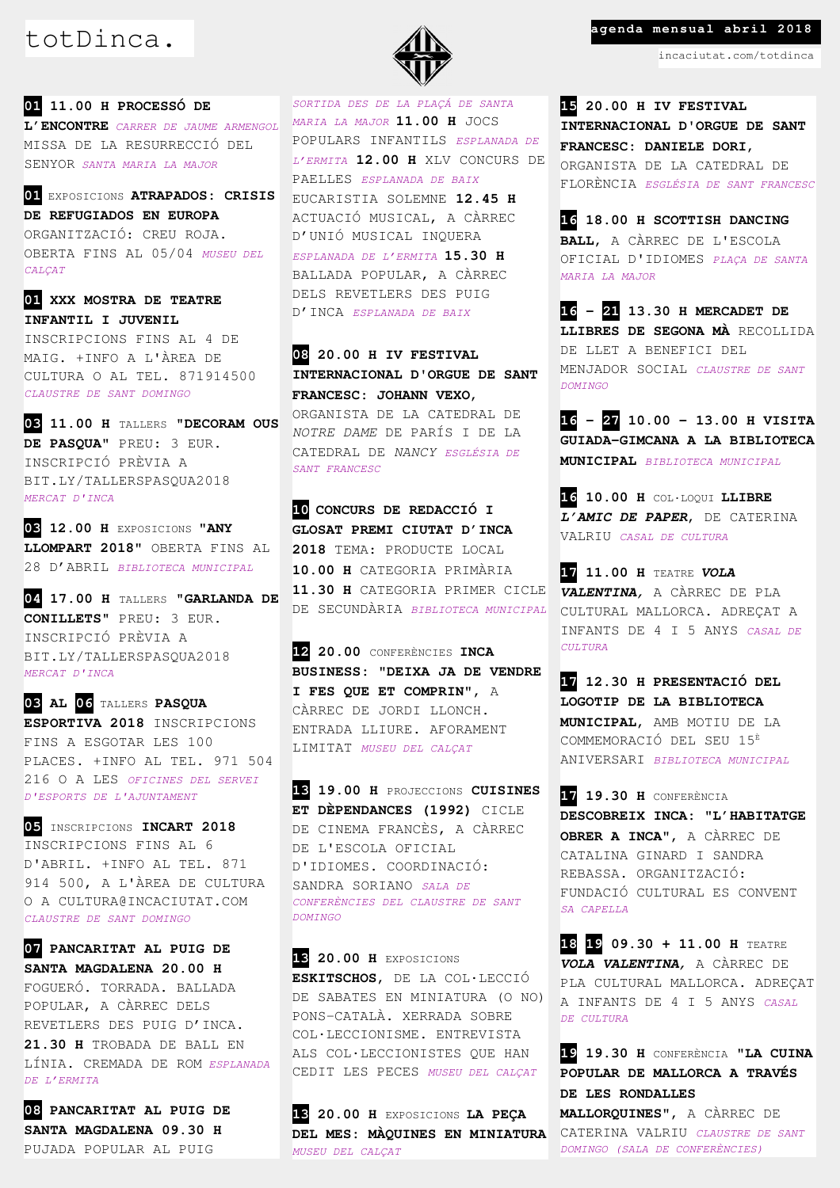**01 11.00 H PROCESSÓ DE L'ENCONTRE** *CARRER DE JAUME ARMENGOL* MISSA DE LA RESURRECCIÓ DEL SENYOR *SANTA MARIA LA MAJOR*

**01** EXPOSICIONS **ATRAPADOS: CRISIS DE REFUGIADOS EN EUROPA** ORGANITZACIÓ: CREU ROJA. OBERTA FINS AL 05/04 *MUSEU DEL CALÇAT*

**01 XXX MOSTRA DE TEATRE INFANTIL I JUVENIL** INSCRIPCIONS FINS AL 4 DE MAIG. +INFO A L'ÀREA DE CULTURA O AL TEL. 871914500 *CLAUSTRE DE SANT DOMINGO*

**03 11.00 H** TALLERS "**DECORAM OUS DE PASQUA"** PREU: 3 EUR. INSCRIPCIÓ PRÈVIA A BIT.LY/TALLERSPASQUA2018 *MERCAT D'INCA*

**03 12.00 H** EXPOSICIONS **"ANY LLOMPART 2018"** OBERTA FINS AL 28 D'ABRIL *BIBLIOTECA MUNICIPAL*

**04 17.00 H** TALLERS "**GARLANDA DE CONILLETS**" PREU: 3 EUR. INSCRIPCIÓ PRÈVIA A BIT.LY/TALLERSPASQUA2018 *MERCAT D'INCA*

**03 AL 06** TALLERS **PASQUA ESPORTIVA 2018** INSCRIPCIONS FINS A ESGOTAR LES 100 PLACES. +INFO AL TEL. 971 504 216 O A LES *OFICINES DEL SERVEI D'ESPORTS DE L'AJUNTAMENT*

**05** INSCRIPCIONS **INCART 2018** INSCRIPCIONS FINS AL 6 D'ABRIL. +INFO AL TEL. 871 914 500, A L'ÀREA DE CULTURA O A CULTURA@INCACIUTAT.COM *CLAUSTRE DE SANT DOMINGO*

**07 PANCARITAT AL PUIG DE SANTA MAGDALENA 20.00 H**  FOGUERÓ. TORRADA. BALLADA POPULAR, A CÀRREC DELS REVETLERS DES PUIG D'INCA. **21.30 H** TROBADA DE BALL EN LÍNIA. CREMADA DE ROM *ESPLANADA DE L'ERMITA*

**08 PANCARITAT AL PUIG DE SANTA MAGDALENA 09.30 H**  PUJADA POPULAR AL PUIG



*SORTIDA DES DE LA PLAÇÁ DE SANTA MARIA LA MAJOR* **11.00 H** JOCS POPULARS INFANTILS *ESPLANADA DE L'ERMITA* **12.00 H** XLV CONCURS DE PAELLES *ESPLANADA DE BAIX* EUCARISTIA SOLEMNE **12.45 H**  ACTUACIÓ MUSICAL, A CÀRREC D'UNIÓ MUSICAL INQUERA *ESPLANADA DE L'ERMITA* **15.30 H** BALLADA POPULAR, A CÀRREC DELS REVETLERS DES PUIG D'INCA *ESPLANADA DE BAIX*

**08 20.00 H IV FESTIVAL INTERNACIONAL D'ORGUE DE SANT FRANCESC: JOHANN VEXO**, ORGANISTA DE LA CATEDRAL DE *NOTRE DAME* DE PARÍS I DE LA CATEDRAL DE *NANCY ESGLÉSIA DE SANT FRANCESC*

**10 CONCURS DE REDACCIÓ I GLOSAT PREMI CIUTAT D'INCA 2018** TEMA: PRODUCTE LOCAL **10.00 H** CATEGORIA PRIMÀRIA **11.30 H** CATEGORIA PRIMER CICLE DE SECUNDÀRIA *BIBLIOTECA MUNICIPAL*

**12 20.00** CONFERÈNCIES **INCA BUSINESS: "DEIXA JA DE VENDRE I FES QUE ET COMPRIN"**, A CÀRREC DE JORDI LLONCH. ENTRADA LLIURE. AFORAMENT LIMITAT *MUSEU DEL CALÇAT*

**13 19.00 H** PROJECCIONS **CUISINES ET DÈPENDANCES (1992)** CICLE DE CINEMA FRANCÈS, A CÀRREC DE L'ESCOLA OFICIAL D'IDIOMES. COORDINACIÓ: SANDRA SORIANO *SALA DE CONFERÈNCIES DEL CLAUSTRE DE SANT DOMINGO*

**13 20.00 H** EXPOSICIONS **ESKITSCHOS**, DE LA COL·LECCIÓ DE SABATES EN MINIATURA (O NO) PONS-CATALÀ. XERRADA SOBRE COL·LECCIONISME. ENTREVISTA ALS COL·LECCIONISTES QUE HAN CEDIT LES PECES *MUSEU DEL CALÇAT*

**13 20.00 H** EXPOSICIONS **LA PEÇA DEL MES: MÀQUINES EN MINIATURA** *MUSEU DEL CALÇAT*

## totDinca. **agenda mensual abril 2018**

incaciutat.com/totdinca

**15 20.00 H IV FESTIVAL INTERNACIONAL D'ORGUE DE SANT FRANCESC: DANIELE DORI**, ORGANISTA DE LA CATEDRAL DE FLORÈNCIA *ESGLÉSIA DE SANT FRANCESC*

**16 18.00 H SCOTTISH DANCING BALL**, A CÀRREC DE L'ESCOLA OFICIAL D'IDIOMES *PLAÇA DE SANTA MARIA LA MAJOR*

**16 – 21 13.30 H MERCADET DE LLIBRES DE SEGONA MÀ** RECOLLIDA DE LLET A BENEFICI DEL MENJADOR SOCIAL *CLAUSTRE DE SANT DOMINGO*

**16 – 27 10.00 - 13.00 H VISITA GUIADA-GIMCANA A LA BIBLIOTECA MUNICIPAL** *BIBLIOTECA MUNICIPAL*

**16 10.00 H** COL·LOQUI **LLIBRE**  *L'AMIC DE PAPER*, DE CATERINA VALRIU *CASAL DE CULTURA*

**17 11.00 H** TEATRE *VOLA VALENTINA,* A CÀRREC DE PLA CULTURAL MALLORCA. ADREÇAT A INFANTS DE 4 I 5 ANYS *CASAL DE CULTURA*

**17 12.30 H PRESENTACIÓ DEL LOGOTIP DE LA BIBLIOTECA MUNICIPAL**, AMB MOTIU DE LA COMMEMORACIÓ DEL SEU 15<sup>È</sup> ANIVERSARI *BIBLIOTECA MUNICIPAL*

**17 19.30 H** CONFERÈNCIA **DESCOBREIX INCA: "L'HABITATGE OBRER A INCA"**, A CÀRREC DE CATALINA GINARD I SANDRA REBASSA. ORGANITZACIÓ: FUNDACIÓ CULTURAL ES CONVENT *SA CAPELLA*

**18 19 09.30 + 11.00 H** TEATRE *VOLA VALENTINA,* A CÀRREC DE PLA CULTURAL MALLORCA. ADREÇAT A INFANTS DE 4 I 5 ANYS *CASAL DE CULTURA*

**19 19.30 H** CONFERÈNCIA **"LA CUINA POPULAR DE MALLORCA A TRAVÉS DE LES RONDALLES MALLORQUINES"**, A CÀRREC DE CATERINA VALRIU *CLAUSTRE DE SANT DOMINGO (SALA DE CONFERÈNCIES)*